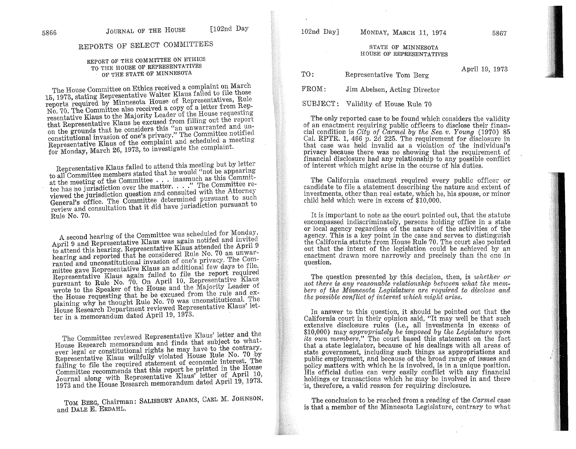# REPORTS OF SELECT COMMITTEES

## REPORT OF THE COMMITTEE ON ETHICS TO THE HOUSE OF REPRESENTATIVES OF THE STATE OF MINNESOTA

The House Committee on Ethics received a complaint on March 15, 1973, stating Representative Walter Klaus failed to file those reports required by Minnesota House of Representatives, Rule No. 70. The Committee also received a copy of a letter from Representative Klaus to the Majority Leader of the House requesting that Representative Klaus be excused from filling out the report on the grounds that he considers this "an unwarranted and un-<br>constitutional invasion of one's privacy." The Committee notified Representative Klaus of the complaint and scheduled a meeting for Monday, March 26, 1973, to investigate the complaint.

Representative Klaus failed to attend this meeting but by letter to all Committee members stated that he would "not be appearing" at the meeting of the Committee . . . inasmuch as this Commitat the meeting of the commutee . . . . ........ The Committee reviewed the jurisdiction question and consulted with the Attorney General's office. The Committee determined pursuant to such review and consultation that it did have jurisdiction pursuant to Rule No. 70.

A second hearing of the Committee was scheduled for Monday, April 9 and Representative Klaus was again notifed and invited to attend this hearing. Representative Klaus attended the April 9 hearing and reported that he considered Rule No. 70 an unwarranted and unconstitutional invasion of one's privacy. The Committee gave Representative Klaus an additional few days to file. Representative Klaus again failed to file the report required pursuant to Rule No. 70. On April 10, Representative Klaus wrote to the Speaker of the House and the Majority Leader of the House requesting that he be excused from the rule and explaining why he thought Rule No. 70 was unconstitutional. The House Research Department reviewed Representative Klaus' letter in a memorandum dated April 19, 1973.

The Committee reviewed Representative Klaus' letter and the House Research memorandum and finds that subject to whatever legal or constitutional rights he may have to the contrary, Representative Klaus willfully violated House Rule No. 70 by failing to file the required statement of economic interest. The Committee recommends that this report be printed in the House Journal along with Representative Klaus' letter of April 10, 1973 and the House Research memorandum dated April 19, 1973.

TOM BERG, Chairman: SALISBURY ADAMS, CARL M. JOHNSON, and DALE E. ERDAHL.

#### STATE OF MINNESOTA HOUSE OF REPRESENTATIVES

April 19, 1973 TO: Representative Tom Berg  $FROM:$ Jim Abelsen, Acting Director SUBJECT: Validity of House Rule 70

The only reported case to be found which considers the validity of an enactment requiring public officers to disclose their financial condition is *City of Carmel by the Sea v. Young* (1970) 85<br>Cal. RPTR. 1, 466 p. 2d 225. The requirement for disclosure in that case was held invalid as a violation of the individual's privacy because there was no showing that the requirement of financial disclosure had any relationship to any possible conflict of interest which might arise in the course of his duties.

The California enactment required every public officer or candidate to file a statement describing the nature and extent of investments, other than real estate, which he, his spouse, or minor child held which were in excess of \$10,000.

It is important to note as the court pointed out, that the statute encompassed indiscriminately, persons holding office in a state or local agency regardless of the nature of the activities of the agency. This is a key point in the case and serves to distinguish the California statute from House Rule 70. The court also pointed out that the intent of the legislation could be achieved by an enactment drawn more narrowly and precisely than the one in question.

The question presented by this decision, then, is whether or not there is any reasonable relationship between what the members of the Minnesota Legislature are required to disclose and the possible conflict of interest which might arise.

In answer to this question, it should be pointed out that the California court in their opinion said, "It may well be that such extensive disclosure rules (i.e., all investments in excess of \$10,000) may appropriately be imposed by the Legislature upon *its own members.*" The court based this statement on the fact that a state legislator, because of his dealings with all areas of state government, including such things as appropriations and public employment, and because of the broad range of issues and policy matters with which he is involved, is in a unique position. His official duties can very easily conflict with any financial holdings or transactions which he may be involved in and there is, therefore, a valid reason for requiring disclosure.

The conclusion to be reached from a reading of the *Carmel* case is that a member of the Minnesota Legislature, contrary to what

5867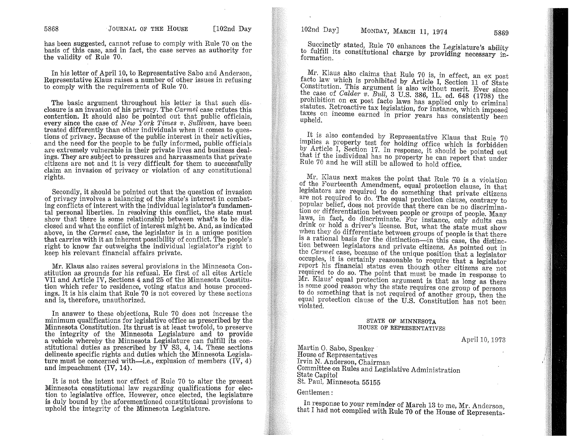has been suggested, cannot refuse to comply with Rule 70 on the basis of this case, and in fact, the case serves as authority for the validity of Rule 70.

In his letter of April 10, to Representative Sabo and Anderson, Representative Klaus raises a number of other issues in refusing to comply with the requirements of Rule 70.

The basic argument throughout his letter is that such disclosure is an invasion of his privacy. The *Cat'mel* case refutes this contention. It should also be pointed out that public officials, every since the case of *New York Times v*. *Sullivan*, have been treated differently than other individuals when it comes to questions of privacy. Because of the public interest in their activities, and the need for the people to be fully informed, public officials are extremely vulnerable in their private lives and business dealings. They are subject to pressures and harrassments that private citizens are not and it is very difficult for them to successfully claim an invasion of privacy or violation of any constitutional rights.

Secondly, it should be pointed out that the question of invasion of privacy involves a balancing of the state's interest in combating conflicts of interest with the individual legislator's fundamental personal liberties. In resolving this conflict, the state must show that there is some relationship between what's to be disclosed and what the conflict of interest might be. And, as indicated above, in the *Carmel* case, the legislator is in a unique position that carries with it an inherent possibility of conflict. The people's right to know far outweighs the individual legislator's right to keep his relevant financial affairs private.

Mr. Klaus also raises several provisions in the Minnesota Constitution as grounds for his refusal. He first of all cites Article VII and Article IV, Sections 4 and 25 of the Minnesota Constitution which refer to residence, voting status and house proceedings. It is his claim that Rule 70 is not covered by these sections and is, therefore, unauthorized.

In answer to these objections, Rule 70 does not increase the minimum qualifications for legislative office as prescribed by the Minnesota Constitution. Its thrust is at least twofold, to preserve the integrity of the Minnesota Legislature and to provide a vehicle whereby the Minnesota Legislature can fulfill its constitutional duties as prescribed by  $\overline{IV}$  S3, 4, 14. These sections delineate specific rights and duties which the Minnesota Legislature must be concerned with—i.e., explusion of members  $(I\bar{V}, 4)$ and impeachment (IV, 14).

It is not the intent nor effect of Rule 70 to alter the present Minnesota constitutional law regarding qualifications for election to legislative office. However, once elected, the legislature is duly bound by the aforementioned constitutional provisions to uphold the integrity of the Minnesota Legislature.

102nd Day] MONDAY, MARCH 11, 1974 5869

Succinctly stated, Rule 70 enhances the Legislature's ability to fulfill its constitutional charge by providing necessary in-<br>formation.

Mr. Klaus also claims that Rule 70 is, in effect, an ex post facto law which is prohibited by Article I, Section 11 of State Constitution. This argument is also without merit. Ever since  $\frac{1}{2}$  the case of *Calder v. Bull,* 3 U.S. 386, 1L. ed. 648 (1798) the  $P<sup>1</sup>$  prohibition on ex. post facto laws has applied only to criminal statutes. Retroactive tax legislation, for instance, which imposed taxes on income earned in prior years has consistently been upheld.

It is also contended by Representative Klaus that Rule 70 implies a property test for holding office which is forbidden by Article I, Section 17. In response, it should be pointed out that if the individual has no property he can report that under Rule 70 and he will still be allowed to hold office.

Mr. Klaus next makes the point that Rule 70 is a violation of the Fourteenth Amendment, equal protection clause, in that legislators are required to do something that private citizens are not required to do. The equal protection clause, contrary to popular belief, does not provide that there can be no discrimination or differentiation between people or groups of people. Many laws, in fact, do discriminate. For instance, only adults can drink or hold a driver's license. But, what the state must show when they do differentiate between groups of people is that there is a rational basis for the distinction-in this case, the distinction between legislators and private citizens. As pointed out in the Carmel case, because of the unique position that a legislator occupies, it is certainly reasonable to require that a legislator report his financial status even though other citizens are not required to do so. The point that must be made in response to Mr. Klaus' equal protection argument is that as long as there is some good reason why the state requires one group of persons to do something that is not required of another group, then the equal protection clause of the U.S. Constitution has not been violated.

#### STATE OF MINNESOTA HOUSE OF REPRESENTATIVES

April 10,1973

Martin O. Sabo, Speaker House of Representatives Irvin N. Anderson, Chairman Committee on Rules and Legislative Administration State Capitol St, Paul, Minnesota 55155

Gentlemen:

In response to your reminder of March 13 to me, Mr. Anderson, that I had not complied with Rule 70 of the House of Representa-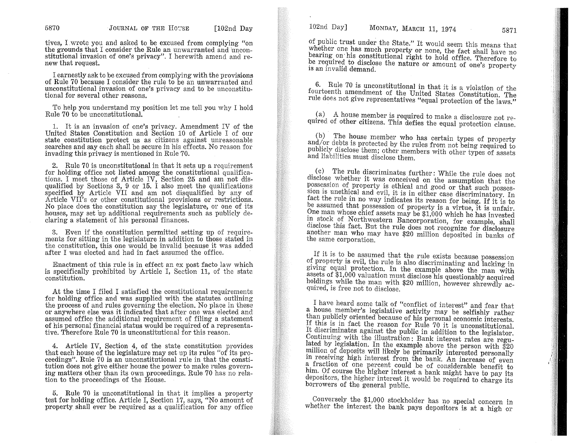tives, I.wrote you and asked to be excused from complying "on the grounds that I consider the Rule an unwarranted and unconstitutional invasion of one's privacy". I herewith amend and renew that request.

I earnestly ask to be excused from complying with the provisions of Rule 70 because I consider the rule to be an unwarranted and unconstitutional invasion of one's privacy and to be unconstitutional for several other reasons.

To help you understand my position let me tell you why I hold Rule 70 to be unconstitutional.

1. It is an invasion of one's privacy. Amendment IV of the United States Constitution and Section 10 of Article I of our state constitution protect us as citizens against unreasonable searches and say each shall be secure in his effects. No reason for invading this privacy is mentioned in Rule 70.

2. Rule 70 is unconstitutional in that it sets up a requirement for holding office not listed among the constitutional qualifications. I meet those of Article IV, Section 25 and am not disqualified by Sections 3, 9 or 15. I also meet the qualifications specified by Article VII and am not disqualified by any of Article VII's or other constitutional provisions or restrictions. No place does the constitution say the legislature, or one of its houses, may set up additional requirements such as publicly declaring a statement of his personal finances.

3. Even if the constitution permitted setting up of requirements for sitting in the legislature in addition to those stated in the constitution, this one would be invalid because it was added after I was elected and had in fact assumed the office.

Enactment of this rule is in effect an ex post facto law which is specifically prohibited by Article I, Section 11, of the state constitution.

At the time I filed I satisfied the constitutional requirements for holding office and was supplied with the statutes outlining the process of and rules governing the election. No place in these or anywhere else was it indicated that after one was elected and assumed office the additional requirement of filing a statement of his personal financial status would be required of a representative. Therefore Rule 70 is unconstitutional for this reason.

4. Article IV, Section 4, of the state constitution provides that each house of the legislature may set up its rules "of its proceedings". Rule 70 is an unconstitutional rule in that the constitution does not give either house the power to make rules governing matters other than its own proceedings. Rule 70 has no relation to the proceedings of the House.

5. Rule 70 is unconstitutional in that it implies a property test for holding office. Article I, Section 17, says, "No amount of property shall ever be required as a qualification for any office

of public trust under the State." It would seem this means that whether one has much property or none, the fact shall have no bearing on his constitutional right to hold office. Therefore to be required to disclose the nature or amount of one's property is an invalid demand.

6. Rule 70 is unconstitutional in that it is a violation of the fourteenth amendment of the United States Constitution. The rule does not give representatives "equal protection of the laws."

 $(a)$  A house member is required to make a disclosure not required of other citizens. This defies the equal protection clause.

(b) The house member who has certain types of property and/or debts is protected by the rules from not being required to publicly disclose them; other members with other types of assets and liabilities must disclose them.

. (c) The rule discriminates further: While the rule does not disclose whether it was conceived on the assumption that the possession of property is ethical and good or that such possession is unethical and evil, it is in either case discriminatory. In fact the rule in no way indicates its reason for being. If it is to be assumed that possession of property is a virtue, it is unfair. One man whose chief assets may be \$1,000 which he has invested in stock of Northwestern Bancorporation, for example, shall disclose this fact. But the rule does not recognize for disclosure another man who may have \$20 million deposited in banks of the same corporation.

If it is to be assumed that the rule exists because possession of property is evil, the rule is also discriminating and lacking in giving equal protection. In the example above the man with assets of \$1,000 valuation must disclose his questionably acquired holdings while the man with \$20 million, however shrewdly acquired, is free not to disclose.

I have heard some talk of "conflict of interest" and fear that a house member's legislative activity may be selfishly rather than publicly oriented because of his personal economic interests. If this is in fact the reason for Rule 70 it is unconstitutional. It discriminates against the public in addition to the legislator. Continuing with the illustration: Bank interest rates are regulated by legislation. In the example above the person with  $$20$ million of deposits will likely be primarily interested personally in receiving high interest from the bank. An increase of even a fraction of one percent could be of considerable benefit to him. Of course the higher interest a bank might have to pay its depositors, the higher interest it would be required to charge its borrowers of the general public.

Conversely. the \$1,000 stockholder has no special concern in whether the interest the bank pays depositors is at a high or